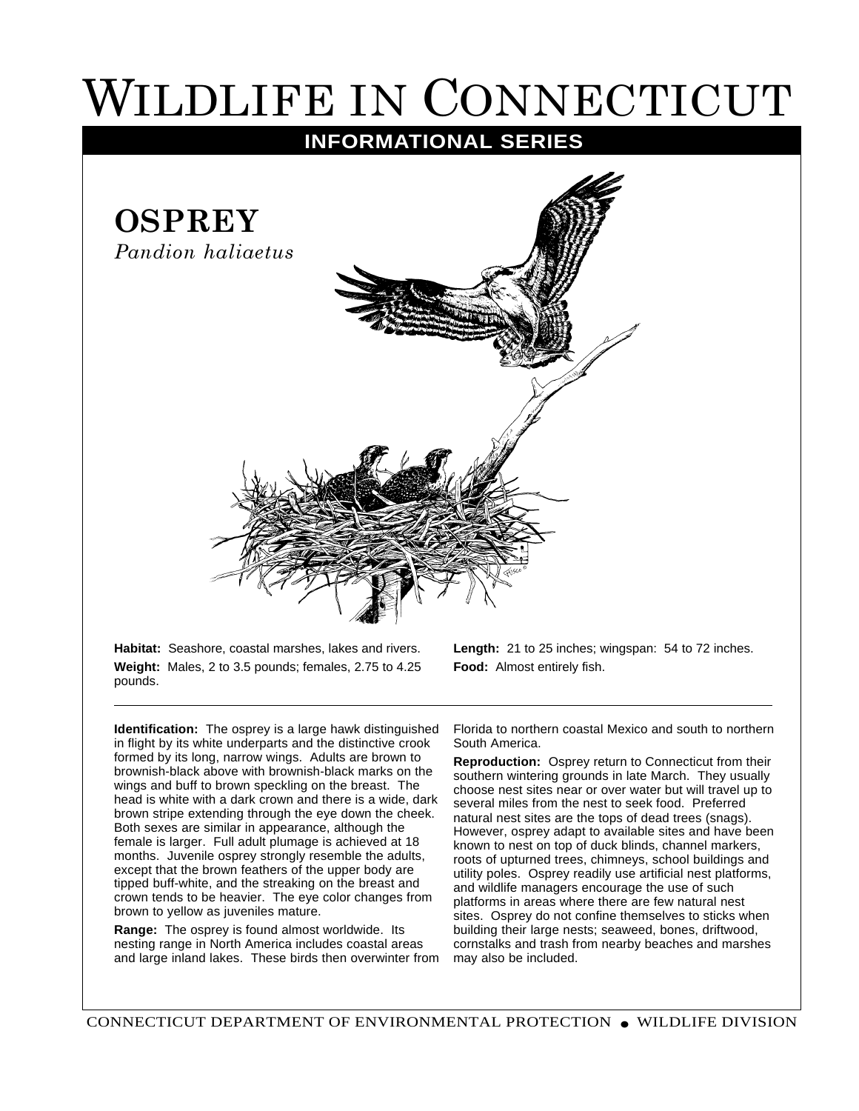## WILDLIFE IN CONNECTICUT

## **INFORMATIONAL SERIES**



**Habitat:** Seashore, coastal marshes, lakes and rivers. **Weight:** Males, 2 to 3.5 pounds; females, 2.75 to 4.25 pounds.

**Length:** 21 to 25 inches; wingspan: 54 to 72 inches. **Food:** Almost entirely fish.

**Identification:** The osprey is a large hawk distinguished in flight by its white underparts and the distinctive crook formed by its long, narrow wings. Adults are brown to brownish-black above with brownish-black marks on the wings and buff to brown speckling on the breast. The head is white with a dark crown and there is a wide, dark brown stripe extending through the eye down the cheek. Both sexes are similar in appearance, although the female is larger. Full adult plumage is achieved at 18 months. Juvenile osprey strongly resemble the adults, except that the brown feathers of the upper body are tipped buff-white, and the streaking on the breast and crown tends to be heavier. The eye color changes from brown to yellow as juveniles mature.

**Range:** The osprey is found almost worldwide. Its nesting range in North America includes coastal areas and large inland lakes. These birds then overwinter from

Florida to northern coastal Mexico and south to northern South America.

**Reproduction:** Osprey return to Connecticut from their southern wintering grounds in late March. They usually choose nest sites near or over water but will travel up to several miles from the nest to seek food. Preferred natural nest sites are the tops of dead trees (snags). However, osprey adapt to available sites and have been known to nest on top of duck blinds, channel markers, roots of upturned trees, chimneys, school buildings and utility poles. Osprey readily use artificial nest platforms, and wildlife managers encourage the use of such platforms in areas where there are few natural nest sites. Osprey do not confine themselves to sticks when building their large nests; seaweed, bones, driftwood, cornstalks and trash from nearby beaches and marshes may also be included.

CONNECTICUT DEPARTMENT OF ENVIRONMENTAL PROTECTION ● WILDLIFE DIVISION